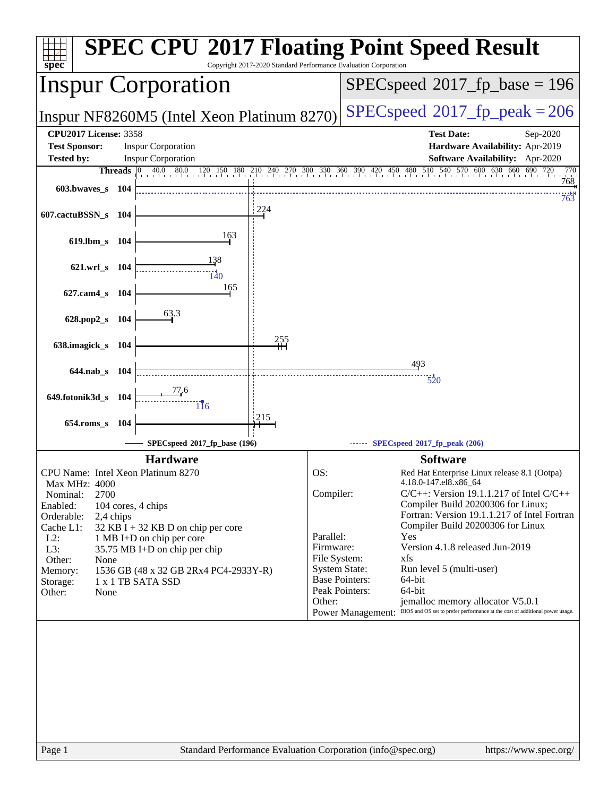| <b>Inspur Corporation</b><br>$SPEC speed^{\circ}2017$ fp peak = 206<br>Inspur NF8260M5 (Intel Xeon Platinum 8270)<br><b>CPU2017 License: 3358</b><br><b>Test Date:</b><br><b>Test Sponsor:</b><br><b>Inspur Corporation</b><br><b>Tested by:</b><br><b>Inspur Corporation</b><br>40.0 80.0 120 150 180 210 240 270 300 330 360 390 420 450 480 510 540 570 600 630 660 690 720<br>Threads $ 0 $<br>603.bwaves s<br>- 104<br>224<br>607.cactuBSSN_s 104<br>163<br>619.lbm s 104<br>138<br>621.wrf_s 104<br>$\frac{11}{140}$<br>165<br>627.cam4_s 104<br>63.3<br>628.pop2_s 104<br><u> 255</u><br>638.imagick_s 104<br>493<br>$644$ .nab s<br>- 104<br>520<br>77.6<br>649.fotonik3d_s<br>- 104<br>116<br>215<br>$654$ .roms_s<br>-104<br>$SPECspeed*2017_fp\_base(196)$<br>SPECspeed®2017_fp_peak (206)<br><b>Hardware</b><br><b>Software</b><br>CPU Name: Intel Xeon Platinum 8270<br>OS:<br>Red Hat Enterprise Linux release 8.1 (Ootpa)<br>4.18.0-147.el8.x86 64<br>Max MHz: 4000<br>Compiler:<br>Nominal:<br>2700<br>Compiler Build 20200306 for Linux;<br>Enabled:<br>104 cores, 4 chips<br>Orderable:<br>2,4 chips<br>Compiler Build 20200306 for Linux<br>Cache L1:<br>32 KB I + 32 KB D on chip per core<br>Parallel:<br>Yes<br>$L2$ :<br>1 MB I+D on chip per core<br>Firmware:<br>Version 4.1.8 released Jun-2019<br>L3:<br>35.75 MB I+D on chip per chip<br>File System:<br>xfs<br>Other:<br>None<br><b>System State:</b><br>Run level 5 (multi-user)<br>1536 GB (48 x 32 GB 2Rx4 PC4-2933Y-R)<br>Memory:<br><b>Base Pointers:</b><br>64-bit<br>1 x 1 TB SATA SSD<br>Storage:<br>Peak Pointers:<br>64-bit<br>Other:<br>None |  |  |        | Sep-2020<br>Hardware Availability: Apr-2019<br>Software Availability: Apr-2020<br>770<br>768<br>763              |  |  |  |
|--------------------------------------------------------------------------------------------------------------------------------------------------------------------------------------------------------------------------------------------------------------------------------------------------------------------------------------------------------------------------------------------------------------------------------------------------------------------------------------------------------------------------------------------------------------------------------------------------------------------------------------------------------------------------------------------------------------------------------------------------------------------------------------------------------------------------------------------------------------------------------------------------------------------------------------------------------------------------------------------------------------------------------------------------------------------------------------------------------------------------------------------------------------------------------------------------------------------------------------------------------------------------------------------------------------------------------------------------------------------------------------------------------------------------------------------------------------------------------------------------------------------------------------------------------------------------------------------------------------------------------------|--|--|--------|------------------------------------------------------------------------------------------------------------------|--|--|--|
|                                                                                                                                                                                                                                                                                                                                                                                                                                                                                                                                                                                                                                                                                                                                                                                                                                                                                                                                                                                                                                                                                                                                                                                                                                                                                                                                                                                                                                                                                                                                                                                                                                      |  |  |        |                                                                                                                  |  |  |  |
|                                                                                                                                                                                                                                                                                                                                                                                                                                                                                                                                                                                                                                                                                                                                                                                                                                                                                                                                                                                                                                                                                                                                                                                                                                                                                                                                                                                                                                                                                                                                                                                                                                      |  |  |        |                                                                                                                  |  |  |  |
|                                                                                                                                                                                                                                                                                                                                                                                                                                                                                                                                                                                                                                                                                                                                                                                                                                                                                                                                                                                                                                                                                                                                                                                                                                                                                                                                                                                                                                                                                                                                                                                                                                      |  |  |        |                                                                                                                  |  |  |  |
|                                                                                                                                                                                                                                                                                                                                                                                                                                                                                                                                                                                                                                                                                                                                                                                                                                                                                                                                                                                                                                                                                                                                                                                                                                                                                                                                                                                                                                                                                                                                                                                                                                      |  |  |        |                                                                                                                  |  |  |  |
|                                                                                                                                                                                                                                                                                                                                                                                                                                                                                                                                                                                                                                                                                                                                                                                                                                                                                                                                                                                                                                                                                                                                                                                                                                                                                                                                                                                                                                                                                                                                                                                                                                      |  |  |        |                                                                                                                  |  |  |  |
|                                                                                                                                                                                                                                                                                                                                                                                                                                                                                                                                                                                                                                                                                                                                                                                                                                                                                                                                                                                                                                                                                                                                                                                                                                                                                                                                                                                                                                                                                                                                                                                                                                      |  |  |        |                                                                                                                  |  |  |  |
|                                                                                                                                                                                                                                                                                                                                                                                                                                                                                                                                                                                                                                                                                                                                                                                                                                                                                                                                                                                                                                                                                                                                                                                                                                                                                                                                                                                                                                                                                                                                                                                                                                      |  |  |        |                                                                                                                  |  |  |  |
|                                                                                                                                                                                                                                                                                                                                                                                                                                                                                                                                                                                                                                                                                                                                                                                                                                                                                                                                                                                                                                                                                                                                                                                                                                                                                                                                                                                                                                                                                                                                                                                                                                      |  |  |        |                                                                                                                  |  |  |  |
|                                                                                                                                                                                                                                                                                                                                                                                                                                                                                                                                                                                                                                                                                                                                                                                                                                                                                                                                                                                                                                                                                                                                                                                                                                                                                                                                                                                                                                                                                                                                                                                                                                      |  |  |        |                                                                                                                  |  |  |  |
|                                                                                                                                                                                                                                                                                                                                                                                                                                                                                                                                                                                                                                                                                                                                                                                                                                                                                                                                                                                                                                                                                                                                                                                                                                                                                                                                                                                                                                                                                                                                                                                                                                      |  |  |        |                                                                                                                  |  |  |  |
|                                                                                                                                                                                                                                                                                                                                                                                                                                                                                                                                                                                                                                                                                                                                                                                                                                                                                                                                                                                                                                                                                                                                                                                                                                                                                                                                                                                                                                                                                                                                                                                                                                      |  |  |        |                                                                                                                  |  |  |  |
|                                                                                                                                                                                                                                                                                                                                                                                                                                                                                                                                                                                                                                                                                                                                                                                                                                                                                                                                                                                                                                                                                                                                                                                                                                                                                                                                                                                                                                                                                                                                                                                                                                      |  |  |        |                                                                                                                  |  |  |  |
|                                                                                                                                                                                                                                                                                                                                                                                                                                                                                                                                                                                                                                                                                                                                                                                                                                                                                                                                                                                                                                                                                                                                                                                                                                                                                                                                                                                                                                                                                                                                                                                                                                      |  |  |        |                                                                                                                  |  |  |  |
|                                                                                                                                                                                                                                                                                                                                                                                                                                                                                                                                                                                                                                                                                                                                                                                                                                                                                                                                                                                                                                                                                                                                                                                                                                                                                                                                                                                                                                                                                                                                                                                                                                      |  |  |        |                                                                                                                  |  |  |  |
|                                                                                                                                                                                                                                                                                                                                                                                                                                                                                                                                                                                                                                                                                                                                                                                                                                                                                                                                                                                                                                                                                                                                                                                                                                                                                                                                                                                                                                                                                                                                                                                                                                      |  |  |        |                                                                                                                  |  |  |  |
|                                                                                                                                                                                                                                                                                                                                                                                                                                                                                                                                                                                                                                                                                                                                                                                                                                                                                                                                                                                                                                                                                                                                                                                                                                                                                                                                                                                                                                                                                                                                                                                                                                      |  |  |        |                                                                                                                  |  |  |  |
|                                                                                                                                                                                                                                                                                                                                                                                                                                                                                                                                                                                                                                                                                                                                                                                                                                                                                                                                                                                                                                                                                                                                                                                                                                                                                                                                                                                                                                                                                                                                                                                                                                      |  |  |        |                                                                                                                  |  |  |  |
|                                                                                                                                                                                                                                                                                                                                                                                                                                                                                                                                                                                                                                                                                                                                                                                                                                                                                                                                                                                                                                                                                                                                                                                                                                                                                                                                                                                                                                                                                                                                                                                                                                      |  |  |        |                                                                                                                  |  |  |  |
|                                                                                                                                                                                                                                                                                                                                                                                                                                                                                                                                                                                                                                                                                                                                                                                                                                                                                                                                                                                                                                                                                                                                                                                                                                                                                                                                                                                                                                                                                                                                                                                                                                      |  |  |        |                                                                                                                  |  |  |  |
|                                                                                                                                                                                                                                                                                                                                                                                                                                                                                                                                                                                                                                                                                                                                                                                                                                                                                                                                                                                                                                                                                                                                                                                                                                                                                                                                                                                                                                                                                                                                                                                                                                      |  |  |        |                                                                                                                  |  |  |  |
|                                                                                                                                                                                                                                                                                                                                                                                                                                                                                                                                                                                                                                                                                                                                                                                                                                                                                                                                                                                                                                                                                                                                                                                                                                                                                                                                                                                                                                                                                                                                                                                                                                      |  |  |        |                                                                                                                  |  |  |  |
|                                                                                                                                                                                                                                                                                                                                                                                                                                                                                                                                                                                                                                                                                                                                                                                                                                                                                                                                                                                                                                                                                                                                                                                                                                                                                                                                                                                                                                                                                                                                                                                                                                      |  |  |        |                                                                                                                  |  |  |  |
|                                                                                                                                                                                                                                                                                                                                                                                                                                                                                                                                                                                                                                                                                                                                                                                                                                                                                                                                                                                                                                                                                                                                                                                                                                                                                                                                                                                                                                                                                                                                                                                                                                      |  |  |        |                                                                                                                  |  |  |  |
|                                                                                                                                                                                                                                                                                                                                                                                                                                                                                                                                                                                                                                                                                                                                                                                                                                                                                                                                                                                                                                                                                                                                                                                                                                                                                                                                                                                                                                                                                                                                                                                                                                      |  |  |        | $C/C++$ : Version 19.1.1.217 of Intel $C/C++$                                                                    |  |  |  |
|                                                                                                                                                                                                                                                                                                                                                                                                                                                                                                                                                                                                                                                                                                                                                                                                                                                                                                                                                                                                                                                                                                                                                                                                                                                                                                                                                                                                                                                                                                                                                                                                                                      |  |  |        | Fortran: Version 19.1.1.217 of Intel Fortran                                                                     |  |  |  |
|                                                                                                                                                                                                                                                                                                                                                                                                                                                                                                                                                                                                                                                                                                                                                                                                                                                                                                                                                                                                                                                                                                                                                                                                                                                                                                                                                                                                                                                                                                                                                                                                                                      |  |  |        |                                                                                                                  |  |  |  |
|                                                                                                                                                                                                                                                                                                                                                                                                                                                                                                                                                                                                                                                                                                                                                                                                                                                                                                                                                                                                                                                                                                                                                                                                                                                                                                                                                                                                                                                                                                                                                                                                                                      |  |  |        |                                                                                                                  |  |  |  |
|                                                                                                                                                                                                                                                                                                                                                                                                                                                                                                                                                                                                                                                                                                                                                                                                                                                                                                                                                                                                                                                                                                                                                                                                                                                                                                                                                                                                                                                                                                                                                                                                                                      |  |  |        |                                                                                                                  |  |  |  |
|                                                                                                                                                                                                                                                                                                                                                                                                                                                                                                                                                                                                                                                                                                                                                                                                                                                                                                                                                                                                                                                                                                                                                                                                                                                                                                                                                                                                                                                                                                                                                                                                                                      |  |  |        |                                                                                                                  |  |  |  |
|                                                                                                                                                                                                                                                                                                                                                                                                                                                                                                                                                                                                                                                                                                                                                                                                                                                                                                                                                                                                                                                                                                                                                                                                                                                                                                                                                                                                                                                                                                                                                                                                                                      |  |  |        |                                                                                                                  |  |  |  |
|                                                                                                                                                                                                                                                                                                                                                                                                                                                                                                                                                                                                                                                                                                                                                                                                                                                                                                                                                                                                                                                                                                                                                                                                                                                                                                                                                                                                                                                                                                                                                                                                                                      |  |  |        |                                                                                                                  |  |  |  |
| <b>Power Management:</b>                                                                                                                                                                                                                                                                                                                                                                                                                                                                                                                                                                                                                                                                                                                                                                                                                                                                                                                                                                                                                                                                                                                                                                                                                                                                                                                                                                                                                                                                                                                                                                                                             |  |  | Other: | jemalloc memory allocator V5.0.1<br>BIOS and OS set to prefer performance at the cost of additional power usage. |  |  |  |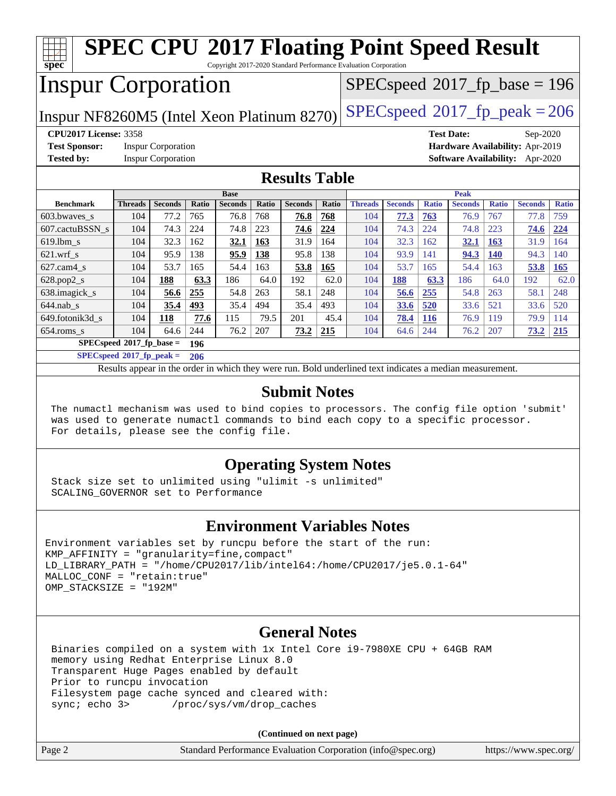| <b>SPEC CPU®2017 Floating Point Speed Result</b><br>spec<br>Copyright 2017-2020 Standard Performance Evaluation Corporation |                          |                           |       |                |       |                |       |                                                                                                          |                |              |                   |              |                                        |              |
|-----------------------------------------------------------------------------------------------------------------------------|--------------------------|---------------------------|-------|----------------|-------|----------------|-------|----------------------------------------------------------------------------------------------------------|----------------|--------------|-------------------|--------------|----------------------------------------|--------------|
| <b>Inspur Corporation</b><br>$SPEC speed^{\circ}2017\_fp\_base = 196$                                                       |                          |                           |       |                |       |                |       |                                                                                                          |                |              |                   |              |                                        |              |
| $SPEC speed^{\circ}2017$ _fp_peak = 206<br>Inspur NF8260M5 (Intel Xeon Platinum 8270)                                       |                          |                           |       |                |       |                |       |                                                                                                          |                |              |                   |              |                                        |              |
| <b>CPU2017 License: 3358</b>                                                                                                |                          |                           |       |                |       |                |       |                                                                                                          |                |              | <b>Test Date:</b> |              | Sep-2020                               |              |
| <b>Test Sponsor:</b>                                                                                                        |                          | <b>Inspur Corporation</b> |       |                |       |                |       |                                                                                                          |                |              |                   |              | Hardware Availability: Apr-2019        |              |
| <b>Tested by:</b>                                                                                                           |                          | <b>Inspur Corporation</b> |       |                |       |                |       |                                                                                                          |                |              |                   |              | <b>Software Availability:</b> Apr-2020 |              |
| <b>Results Table</b>                                                                                                        |                          |                           |       |                |       |                |       |                                                                                                          |                |              |                   |              |                                        |              |
|                                                                                                                             |                          |                           |       | <b>Base</b>    |       |                |       |                                                                                                          |                |              | <b>Peak</b>       |              |                                        |              |
| <b>Benchmark</b>                                                                                                            | <b>Threads</b>           | <b>Seconds</b>            | Ratio | <b>Seconds</b> | Ratio | <b>Seconds</b> | Ratio | <b>Threads</b>                                                                                           | <b>Seconds</b> | <b>Ratio</b> | <b>Seconds</b>    | <b>Ratio</b> | <b>Seconds</b>                         | <b>Ratio</b> |
| 603.bwayes s                                                                                                                | 104                      | 77.2                      | 765   | 76.8           | 768   | 76.8           | 768   | 104                                                                                                      | 77.3           | 763          | 76.9              | 767          | 77.8                                   | 759          |
| 607.cactuBSSN s                                                                                                             | 104                      | 74.3                      | 224   | 74.8           | 223   | 74.6           | 224   | 104                                                                                                      | 74.3           | 224          | 74.8              | 223          | 74.6                                   | 224          |
| 619.lbm s                                                                                                                   | 104                      | 32.3                      | 162   | 32.1           | 163   | 31.9           | 164   | 104                                                                                                      | 32.3           | 162          | 32.1              | <b>163</b>   | 31.9                                   | 164          |
| $621.wrf$ <sub>s</sub>                                                                                                      | 104                      | 95.9                      | 138   | 95.9           | 138   | 95.8           | 138   | 104                                                                                                      | 93.9           | 141          | 94.3              | <b>140</b>   | 94.3                                   | 140          |
| $627.cam4_s$                                                                                                                | 104                      | 53.7                      | 165   | 54.4           | 163   | 53.8           | 165   | 104                                                                                                      | 53.7           | 165          | 54.4              | 163          | 53.8                                   | 165          |
| 628.pop2_s                                                                                                                  | 104                      | 188                       | 63.3  | 186            | 64.0  | 192            | 62.0  | 104                                                                                                      | 188            | 63.3         | 186               | 64.0         | 192                                    | 62.0         |
| 638.imagick_s                                                                                                               | 104                      | 56.6                      | 255   | 54.8           | 263   | 58.1           | 248   | 104                                                                                                      | 56.6           | 255          | 54.8              | 263          | 58.1                                   | 248          |
| $644$ .nab s                                                                                                                | 104                      | 35.4                      | 493   | 35.4           | 494   | 35.4           | 493   | 104                                                                                                      | 33.6           | 520          | 33.6              | 521          | 33.6                                   | 520          |
| 649.fotonik3d s                                                                                                             | 104                      | 118                       | 77.6  | 115            | 79.5  | 201            | 45.4  | 104                                                                                                      | 78.4           | <b>116</b>   | 76.9              | 119          | 79.9                                   | 114          |
| $654$ .roms s                                                                                                               | 104                      | 64.6                      | 244   | 76.2           | 207   | 73.2           | 215   | 104                                                                                                      | 64.6           | 244          | 76.2              | 207          | 73.2                                   | 215          |
|                                                                                                                             | SPECspeed®2017_fp_base = |                           | 196   |                |       |                |       |                                                                                                          |                |              |                   |              |                                        |              |
| $SPECspeed^{\circ}2017$ fp peak =                                                                                           |                          |                           | 206   |                |       |                |       |                                                                                                          |                |              |                   |              |                                        |              |
|                                                                                                                             |                          |                           |       |                |       |                |       | Results appear in the order in which they were run. Bold underlined text indicates a median measurement. |                |              |                   |              |                                        |              |
|                                                                                                                             |                          |                           |       |                |       |                |       |                                                                                                          |                |              |                   |              |                                        |              |

#### **[Submit Notes](http://www.spec.org/auto/cpu2017/Docs/result-fields.html#SubmitNotes)**

 The numactl mechanism was used to bind copies to processors. The config file option 'submit' was used to generate numactl commands to bind each copy to a specific processor. For details, please see the config file.

### **[Operating System Notes](http://www.spec.org/auto/cpu2017/Docs/result-fields.html#OperatingSystemNotes)**

 Stack size set to unlimited using "ulimit -s unlimited" SCALING\_GOVERNOR set to Performance

### **[Environment Variables Notes](http://www.spec.org/auto/cpu2017/Docs/result-fields.html#EnvironmentVariablesNotes)**

```
Environment variables set by runcpu before the start of the run:
KMP_AFFINITY = "granularity=fine,compact"
LD LIBRARY PATH = "/home/CPU2017/lib/intel64:/home/CPU2017/je5.0.1-64"
MALLOC_CONF = "retain:true"
OMP_STACKSIZE = "192M"
```
#### **[General Notes](http://www.spec.org/auto/cpu2017/Docs/result-fields.html#GeneralNotes)**

 Binaries compiled on a system with 1x Intel Core i9-7980XE CPU + 64GB RAM memory using Redhat Enterprise Linux 8.0 Transparent Huge Pages enabled by default Prior to runcpu invocation Filesystem page cache synced and cleared with: sync; echo 3> /proc/sys/vm/drop\_caches

| Page 2 | Standard Performance Evaluation Corporation (info@spec.org) | https://www.spec.org/ |
|--------|-------------------------------------------------------------|-----------------------|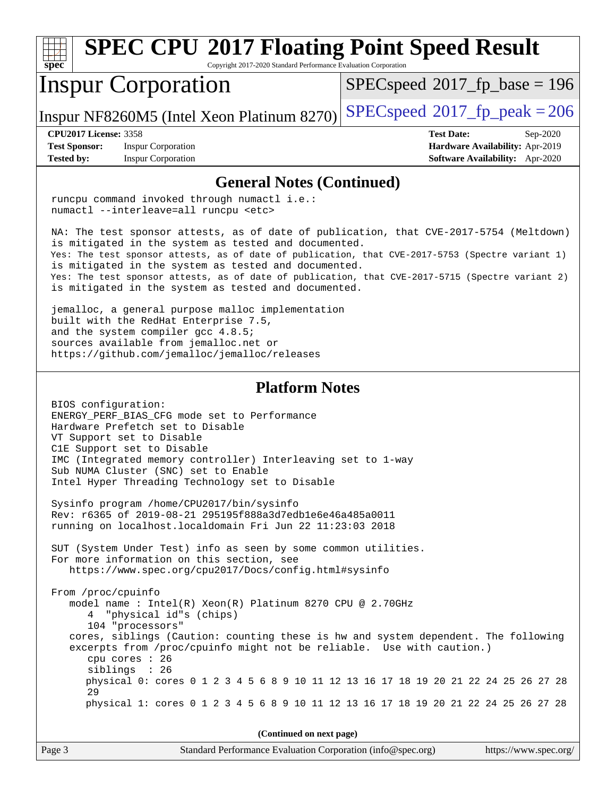**[spec](http://www.spec.org/) [SPEC CPU](http://www.spec.org/auto/cpu2017/Docs/result-fields.html#SPECCPU2017FloatingPointSpeedResult)[2017 Floating Point Speed Result](http://www.spec.org/auto/cpu2017/Docs/result-fields.html#SPECCPU2017FloatingPointSpeedResult)** Copyright 2017-2020 Standard Performance Evaluation Corporation Inspur Corporation [SPECspeed](http://www.spec.org/auto/cpu2017/Docs/result-fields.html#SPECspeed2017fpbase)<sup>®</sup>2017 fp base = 196

Inspur NF8260M5 (Intel Xeon Platinum 8270) [SPECspeed](http://www.spec.org/auto/cpu2017/Docs/result-fields.html#SPECspeed2017fppeak)<sup>®</sup>[2017\\_fp\\_peak = 2](http://www.spec.org/auto/cpu2017/Docs/result-fields.html#SPECspeed2017fppeak)06

**[CPU2017 License:](http://www.spec.org/auto/cpu2017/Docs/result-fields.html#CPU2017License)** 3358 **[Test Date:](http://www.spec.org/auto/cpu2017/Docs/result-fields.html#TestDate)** Sep-2020

**[Test Sponsor:](http://www.spec.org/auto/cpu2017/Docs/result-fields.html#TestSponsor)** Inspur Corporation **[Hardware Availability:](http://www.spec.org/auto/cpu2017/Docs/result-fields.html#HardwareAvailability)** Apr-2019

**[Tested by:](http://www.spec.org/auto/cpu2017/Docs/result-fields.html#Testedby)** Inspur Corporation **[Software Availability:](http://www.spec.org/auto/cpu2017/Docs/result-fields.html#SoftwareAvailability)** Apr-2020

#### **[General Notes \(Continued\)](http://www.spec.org/auto/cpu2017/Docs/result-fields.html#GeneralNotes)**

 runcpu command invoked through numactl i.e.: numactl --interleave=all runcpu <etc>

 NA: The test sponsor attests, as of date of publication, that CVE-2017-5754 (Meltdown) is mitigated in the system as tested and documented. Yes: The test sponsor attests, as of date of publication, that CVE-2017-5753 (Spectre variant 1) is mitigated in the system as tested and documented. Yes: The test sponsor attests, as of date of publication, that CVE-2017-5715 (Spectre variant 2) is mitigated in the system as tested and documented.

 jemalloc, a general purpose malloc implementation built with the RedHat Enterprise 7.5, and the system compiler gcc 4.8.5; sources available from jemalloc.net or <https://github.com/jemalloc/jemalloc/releases>

#### **[Platform Notes](http://www.spec.org/auto/cpu2017/Docs/result-fields.html#PlatformNotes)**

 BIOS configuration: ENERGY\_PERF\_BIAS\_CFG mode set to Performance Hardware Prefetch set to Disable VT Support set to Disable C1E Support set to Disable IMC (Integrated memory controller) Interleaving set to 1-way Sub NUMA Cluster (SNC) set to Enable Intel Hyper Threading Technology set to Disable

 Sysinfo program /home/CPU2017/bin/sysinfo Rev: r6365 of 2019-08-21 295195f888a3d7edb1e6e46a485a0011 running on localhost.localdomain Fri Jun 22 11:23:03 2018

 SUT (System Under Test) info as seen by some common utilities. For more information on this section, see <https://www.spec.org/cpu2017/Docs/config.html#sysinfo>

 From /proc/cpuinfo model name : Intel(R) Xeon(R) Platinum 8270 CPU @ 2.70GHz 4 "physical id"s (chips) 104 "processors" cores, siblings (Caution: counting these is hw and system dependent. The following excerpts from /proc/cpuinfo might not be reliable. Use with caution.) cpu cores : 26 siblings : 26 physical 0: cores 0 1 2 3 4 5 6 8 9 10 11 12 13 16 17 18 19 20 21 22 24 25 26 27 28 29 physical 1: cores 0 1 2 3 4 5 6 8 9 10 11 12 13 16 17 18 19 20 21 22 24 25 26 27 28

| Page 3 | Standard Performance Evaluation Corporation (info@spec.org) | https://www.spec.org/ |
|--------|-------------------------------------------------------------|-----------------------|
|--------|-------------------------------------------------------------|-----------------------|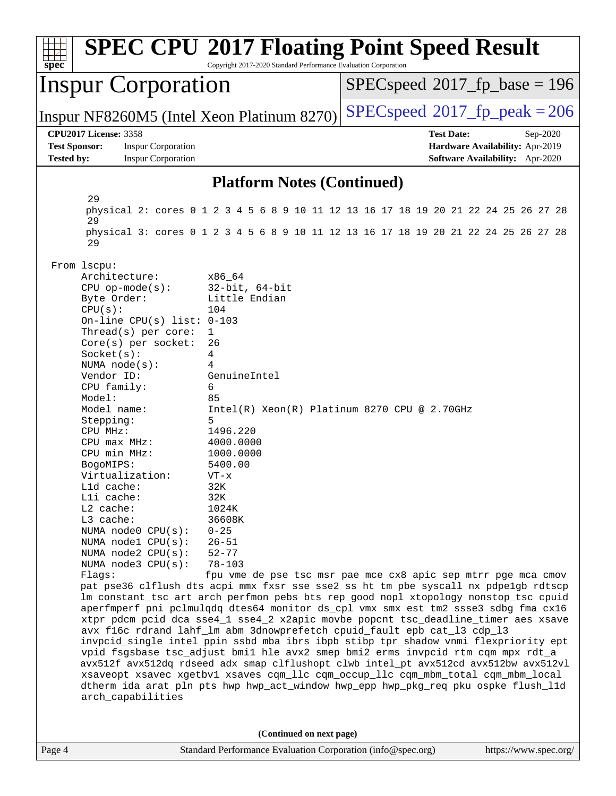| $spec^*$                                                                                                                                                                                                                                                                                                                                                                                                                                                                                                                                                                                                                                                                                                                                                                                                                                                                                                                                                                                                                                                                                                                                                                                                                                                                                                                                                                                                                                                                                                                                                                                                                                                                                                                                                   | <b>SPEC CPU®2017 Floating Point Speed Result</b><br>Copyright 2017-2020 Standard Performance Evaluation Corporation |                                                        |                                                             |                                                                                                                                                                            |                       |
|------------------------------------------------------------------------------------------------------------------------------------------------------------------------------------------------------------------------------------------------------------------------------------------------------------------------------------------------------------------------------------------------------------------------------------------------------------------------------------------------------------------------------------------------------------------------------------------------------------------------------------------------------------------------------------------------------------------------------------------------------------------------------------------------------------------------------------------------------------------------------------------------------------------------------------------------------------------------------------------------------------------------------------------------------------------------------------------------------------------------------------------------------------------------------------------------------------------------------------------------------------------------------------------------------------------------------------------------------------------------------------------------------------------------------------------------------------------------------------------------------------------------------------------------------------------------------------------------------------------------------------------------------------------------------------------------------------------------------------------------------------|---------------------------------------------------------------------------------------------------------------------|--------------------------------------------------------|-------------------------------------------------------------|----------------------------------------------------------------------------------------------------------------------------------------------------------------------------|-----------------------|
|                                                                                                                                                                                                                                                                                                                                                                                                                                                                                                                                                                                                                                                                                                                                                                                                                                                                                                                                                                                                                                                                                                                                                                                                                                                                                                                                                                                                                                                                                                                                                                                                                                                                                                                                                            |                                                                                                                     | <b>Inspur Corporation</b>                              |                                                             | $SPEC speed^{\circ}2017\_fp\_base = 196$                                                                                                                                   |                       |
|                                                                                                                                                                                                                                                                                                                                                                                                                                                                                                                                                                                                                                                                                                                                                                                                                                                                                                                                                                                                                                                                                                                                                                                                                                                                                                                                                                                                                                                                                                                                                                                                                                                                                                                                                            |                                                                                                                     |                                                        | Inspur NF8260M5 (Intel Xeon Platinum 8270)                  | $SPEC speed^{\circ}2017$ fp peak = 206                                                                                                                                     |                       |
| <b>Test Sponsor:</b><br><b>Tested by:</b>                                                                                                                                                                                                                                                                                                                                                                                                                                                                                                                                                                                                                                                                                                                                                                                                                                                                                                                                                                                                                                                                                                                                                                                                                                                                                                                                                                                                                                                                                                                                                                                                                                                                                                                  | <b>CPU2017 License: 3358</b>                                                                                        | <b>Inspur Corporation</b><br><b>Inspur Corporation</b> |                                                             | <b>Test Date:</b><br>Hardware Availability: Apr-2019<br>Software Availability: Apr-2020                                                                                    | Sep-2020              |
|                                                                                                                                                                                                                                                                                                                                                                                                                                                                                                                                                                                                                                                                                                                                                                                                                                                                                                                                                                                                                                                                                                                                                                                                                                                                                                                                                                                                                                                                                                                                                                                                                                                                                                                                                            |                                                                                                                     |                                                        | <b>Platform Notes (Continued)</b>                           |                                                                                                                                                                            |                       |
|                                                                                                                                                                                                                                                                                                                                                                                                                                                                                                                                                                                                                                                                                                                                                                                                                                                                                                                                                                                                                                                                                                                                                                                                                                                                                                                                                                                                                                                                                                                                                                                                                                                                                                                                                            | 29<br>29<br>29                                                                                                      |                                                        |                                                             | physical 2: cores 0 1 2 3 4 5 6 8 9 10 11 12 13 16 17 18 19 20 21 22 24 25 26 27 28<br>physical 3: cores 0 1 2 3 4 5 6 8 9 10 11 12 13 16 17 18 19 20 21 22 24 25 26 27 28 |                       |
| $32$ -bit, $64$ -bit<br>$CPU$ op-mode( $s$ ):<br>Little Endian<br>Byte Order:<br>CPU(s):<br>104<br>On-line CPU(s) list: $0-103$<br>Thread(s) per core:<br>1<br>Core(s) per socket:<br>26<br>Socket(s):<br>4<br>NUMA $node(s):$<br>4<br>Vendor ID:<br>GenuineIntel<br>CPU family:<br>6<br>Model:<br>85<br>Model name:<br>$Intel(R) Xeon(R) Platinum 8270 CPU @ 2.70GHz$<br>Stepping:<br>5<br>CPU MHz:<br>1496.220<br>4000.0000<br>CPU max MHz:<br>CPU min MHz:<br>1000.0000<br>5400.00<br>BogoMIPS:<br>Virtualization:<br>$VT - x$<br>32K<br>Lld cache:<br>Lli cache:<br>32K<br>$L2$ cache:<br>1024K<br>L3 cache:<br>36608K<br>NUMA node0 CPU(s):<br>$0 - 25$<br>NUMA nodel CPU(s):<br>$26 - 51$<br>NUMA $node2$ $CPU(s):$<br>$52 - 77$<br>NUMA node3 CPU(s):<br>$78 - 103$<br>Flags:<br>fpu vme de pse tsc msr pae mce cx8 apic sep mtrr pge mca cmov<br>pat pse36 clflush dts acpi mmx fxsr sse sse2 ss ht tm pbe syscall nx pdpelgb rdtscp<br>lm constant_tsc art arch_perfmon pebs bts rep_good nopl xtopology nonstop_tsc cpuid<br>aperfmperf pni pclmulqdq dtes64 monitor ds_cpl vmx smx est tm2 ssse3 sdbg fma cx16<br>xtpr pdcm pcid dca sse4_1 sse4_2 x2apic movbe popcnt tsc_deadline_timer aes xsave<br>avx f16c rdrand lahf_lm abm 3dnowprefetch cpuid_fault epb cat_13 cdp_13<br>invpcid_single intel_ppin ssbd mba ibrs ibpb stibp tpr_shadow vnmi flexpriority ept<br>vpid fsgsbase tsc_adjust bmil hle avx2 smep bmi2 erms invpcid rtm cqm mpx rdt_a<br>avx512f avx512dq rdseed adx smap clflushopt clwb intel_pt avx512cd avx512bw avx512vl<br>xsaveopt xsavec xgetbvl xsaves cqm_llc cqm_occup_llc cqm_mbm_total cqm_mbm_local<br>dtherm ida arat pln pts hwp hwp_act_window hwp_epp hwp_pkg_req pku ospke flush_lld<br>arch_capabilities |                                                                                                                     |                                                        |                                                             |                                                                                                                                                                            |                       |
|                                                                                                                                                                                                                                                                                                                                                                                                                                                                                                                                                                                                                                                                                                                                                                                                                                                                                                                                                                                                                                                                                                                                                                                                                                                                                                                                                                                                                                                                                                                                                                                                                                                                                                                                                            |                                                                                                                     |                                                        | (Continued on next page)                                    |                                                                                                                                                                            |                       |
| Page 4                                                                                                                                                                                                                                                                                                                                                                                                                                                                                                                                                                                                                                                                                                                                                                                                                                                                                                                                                                                                                                                                                                                                                                                                                                                                                                                                                                                                                                                                                                                                                                                                                                                                                                                                                     |                                                                                                                     |                                                        | Standard Performance Evaluation Corporation (info@spec.org) |                                                                                                                                                                            | https://www.spec.org/ |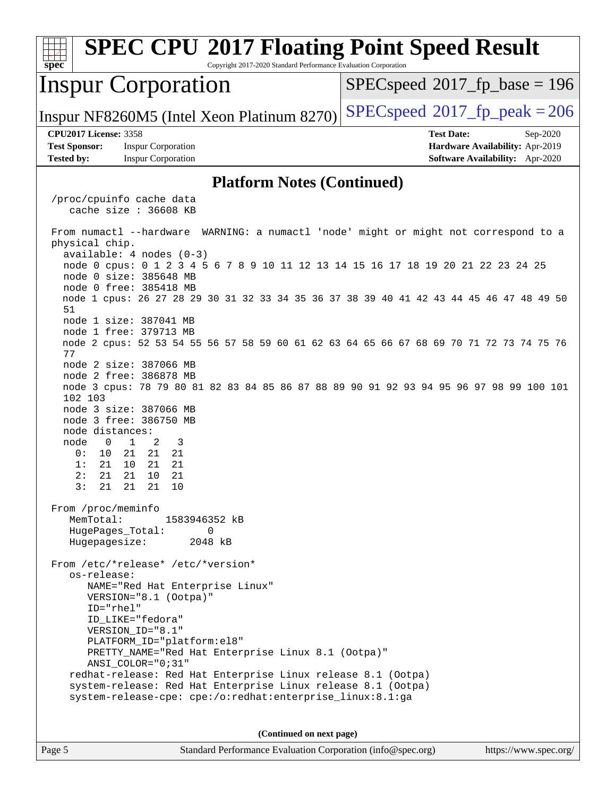| <b>SPEC CPU®2017 Floating Point Speed Result</b><br>spec<br>Copyright 2017-2020 Standard Performance Evaluation Corporation                                                                                                                                                                                                                                                                                                                                                                                                                                                                                                                                                                                                                                                                            |                                                                                                            |  |  |  |  |
|--------------------------------------------------------------------------------------------------------------------------------------------------------------------------------------------------------------------------------------------------------------------------------------------------------------------------------------------------------------------------------------------------------------------------------------------------------------------------------------------------------------------------------------------------------------------------------------------------------------------------------------------------------------------------------------------------------------------------------------------------------------------------------------------------------|------------------------------------------------------------------------------------------------------------|--|--|--|--|
| <b>Inspur Corporation</b>                                                                                                                                                                                                                                                                                                                                                                                                                                                                                                                                                                                                                                                                                                                                                                              | $SPEC speed^{\circ}2017\_fp\_base = 196$                                                                   |  |  |  |  |
| Inspur NF8260M5 (Intel Xeon Platinum 8270)                                                                                                                                                                                                                                                                                                                                                                                                                                                                                                                                                                                                                                                                                                                                                             | $SPEC speed^{\circ}2017$ fp peak = 206                                                                     |  |  |  |  |
| <b>CPU2017 License: 3358</b><br><b>Test Sponsor:</b><br><b>Inspur Corporation</b><br><b>Tested by:</b><br><b>Inspur Corporation</b>                                                                                                                                                                                                                                                                                                                                                                                                                                                                                                                                                                                                                                                                    | <b>Test Date:</b><br>Sep-2020<br>Hardware Availability: Apr-2019<br><b>Software Availability:</b> Apr-2020 |  |  |  |  |
| <b>Platform Notes (Continued)</b>                                                                                                                                                                                                                                                                                                                                                                                                                                                                                                                                                                                                                                                                                                                                                                      |                                                                                                            |  |  |  |  |
| /proc/cpuinfo cache data<br>cache size $: 36608$ KB<br>From numactl --hardware WARNING: a numactl 'node' might or might not correspond to a<br>physical chip.                                                                                                                                                                                                                                                                                                                                                                                                                                                                                                                                                                                                                                          |                                                                                                            |  |  |  |  |
| $available: 4 nodes (0-3)$<br>node 0 cpus: 0 1 2 3 4 5 6 7 8 9 10 11 12 13 14 15 16 17 18 19 20 21 22 23 24 25<br>node 0 size: 385648 MB<br>node 0 free: 385418 MB<br>node 1 cpus: 26 27 28 29 30 31 32 33 34 35 36 37 38 39 40 41 42 43 44 45 46 47 48 49 50<br>51<br>node 1 size: 387041 MB<br>node 1 free: 379713 MB<br>node 2 cpus: 52 53 54 55 56 57 58 59 60 61 62 63 64 65 66 67 68 69 70 71 72 73 74 75 76<br>77<br>node 2 size: 387066 MB<br>node 2 free: 386878 MB<br>node 3 cpus: 78 79 80 81 82 83 84 85 86 87 88 89 90 91 92 93 94 95 96 97 98 99 100 101<br>102 103<br>node 3 size: 387066 MB<br>node 3 free: 386750 MB<br>node distances:<br>$\mathbf{1}$<br>node<br>$\overline{0}$<br>2<br>3<br>21<br>21<br>21<br>0:<br>10<br>10<br>21<br>1:<br>21<br>21<br>21<br>21<br>21<br>2:<br>10 |                                                                                                            |  |  |  |  |
| 3: 21 21 21 10<br>From /proc/meminfo<br>MemTotal:<br>1583946352 kB<br>HugePages_Total:<br>0<br>2048 kB<br>Hugepagesize:<br>From /etc/*release* /etc/*version*<br>os-release:<br>NAME="Red Hat Enterprise Linux"<br>VERSION="8.1 (Ootpa)"<br>$ID="rhe1"$<br>ID_LIKE="fedora"<br>VERSION_ID="8.1"<br>PLATFORM_ID="platform:el8"<br>PRETTY_NAME="Red Hat Enterprise Linux 8.1 (Ootpa)"<br>ANSI_COLOR="0;31"<br>redhat-release: Red Hat Enterprise Linux release 8.1 (Ootpa)<br>system-release: Red Hat Enterprise Linux release 8.1 (Ootpa)<br>system-release-cpe: cpe:/o:redhat:enterprise_linux:8.1:ga                                                                                                                                                                                                  |                                                                                                            |  |  |  |  |
| (Continued on next page)                                                                                                                                                                                                                                                                                                                                                                                                                                                                                                                                                                                                                                                                                                                                                                               |                                                                                                            |  |  |  |  |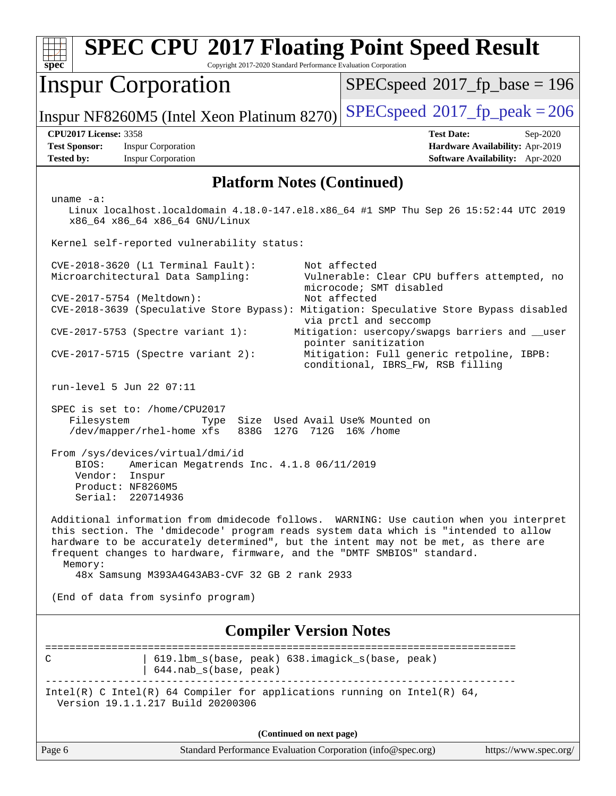| $spec^*$                                                                                                                                                                                                                                                                                                                                                                                                    | Copyright 2017-2020 Standard Performance Evaluation Corporation          | <b>SPEC CPU®2017 Floating Point Speed Result</b>                                                                                                                                                                                                                              |  |  |  |
|-------------------------------------------------------------------------------------------------------------------------------------------------------------------------------------------------------------------------------------------------------------------------------------------------------------------------------------------------------------------------------------------------------------|--------------------------------------------------------------------------|-------------------------------------------------------------------------------------------------------------------------------------------------------------------------------------------------------------------------------------------------------------------------------|--|--|--|
| <b>Inspur Corporation</b>                                                                                                                                                                                                                                                                                                                                                                                   |                                                                          | $SPEC speed^{\circ}2017\_fp\_base = 196$                                                                                                                                                                                                                                      |  |  |  |
| Inspur NF8260M5 (Intel Xeon Platinum 8270)                                                                                                                                                                                                                                                                                                                                                                  |                                                                          | $SPEC speed^{\circ}2017$ _fp_peak = 206                                                                                                                                                                                                                                       |  |  |  |
| <b>CPU2017 License: 3358</b><br><b>Inspur Corporation</b><br><b>Test Sponsor:</b><br><b>Tested by:</b><br><b>Inspur Corporation</b>                                                                                                                                                                                                                                                                         |                                                                          | <b>Test Date:</b><br>Sep-2020<br>Hardware Availability: Apr-2019<br><b>Software Availability:</b> Apr-2020                                                                                                                                                                    |  |  |  |
| <b>Platform Notes (Continued)</b>                                                                                                                                                                                                                                                                                                                                                                           |                                                                          |                                                                                                                                                                                                                                                                               |  |  |  |
| uname $-a$ :<br>Linux localhost.localdomain 4.18.0-147.el8.x86_64 #1 SMP Thu Sep 26 15:52:44 UTC 2019<br>x86_64 x86_64 x86_64 GNU/Linux                                                                                                                                                                                                                                                                     |                                                                          |                                                                                                                                                                                                                                                                               |  |  |  |
| Kernel self-reported vulnerability status:                                                                                                                                                                                                                                                                                                                                                                  |                                                                          |                                                                                                                                                                                                                                                                               |  |  |  |
| CVE-2018-3620 (L1 Terminal Fault):<br>Microarchitectural Data Sampling:<br>CVE-2017-5754 (Meltdown):<br>CVE-2017-5753 (Spectre variant 1):                                                                                                                                                                                                                                                                  |                                                                          | Not affected<br>Vulnerable: Clear CPU buffers attempted, no<br>microcode; SMT disabled<br>Not affected<br>CVE-2018-3639 (Speculative Store Bypass): Mitigation: Speculative Store Bypass disabled<br>via prctl and seccomp<br>Mitigation: usercopy/swapgs barriers and __user |  |  |  |
| $CVE-2017-5715$ (Spectre variant 2):                                                                                                                                                                                                                                                                                                                                                                        |                                                                          | pointer sanitization<br>Mitigation: Full generic retpoline, IBPB:<br>conditional, IBRS_FW, RSB filling                                                                                                                                                                        |  |  |  |
| run-level 5 Jun 22 07:11                                                                                                                                                                                                                                                                                                                                                                                    |                                                                          |                                                                                                                                                                                                                                                                               |  |  |  |
| SPEC is set to: /home/CPU2017<br>Filesystem<br>Size Used Avail Use% Mounted on<br>Type<br>/dev/mapper/rhel-home xfs<br>838G<br>127G 712G 16% / home                                                                                                                                                                                                                                                         |                                                                          |                                                                                                                                                                                                                                                                               |  |  |  |
| From /sys/devices/virtual/dmi/id<br>BIOS:<br>American Megatrends Inc. 4.1.8 06/11/2019<br>Vendor:<br>Inspur<br>Product: NF8260M5<br>Serial: 220714936                                                                                                                                                                                                                                                       |                                                                          |                                                                                                                                                                                                                                                                               |  |  |  |
| Additional information from dmidecode follows. WARNING: Use caution when you interpret<br>this section. The 'dmidecode' program reads system data which is "intended to allow<br>hardware to be accurately determined", but the intent may not be met, as there are<br>frequent changes to hardware, firmware, and the "DMTF SMBIOS" standard.<br>Memory:<br>48x Samsung M393A4G43AB3-CVF 32 GB 2 rank 2933 |                                                                          |                                                                                                                                                                                                                                                                               |  |  |  |
| (End of data from sysinfo program)                                                                                                                                                                                                                                                                                                                                                                          |                                                                          |                                                                                                                                                                                                                                                                               |  |  |  |
| <b>Compiler Version Notes</b>                                                                                                                                                                                                                                                                                                                                                                               |                                                                          |                                                                                                                                                                                                                                                                               |  |  |  |
| C                                                                                                                                                                                                                                                                                                                                                                                                           | 619.1bm_s(base, peak) 638.imagick_s(base, peak)<br>644.nab_s(base, peak) | ======================                                                                                                                                                                                                                                                        |  |  |  |
| Intel(R) C Intel(R) 64 Compiler for applications running on Intel(R) 64,<br>Version 19.1.1.217 Build 20200306                                                                                                                                                                                                                                                                                               |                                                                          |                                                                                                                                                                                                                                                                               |  |  |  |
|                                                                                                                                                                                                                                                                                                                                                                                                             | (Continued on next page)                                                 |                                                                                                                                                                                                                                                                               |  |  |  |
| Page 6                                                                                                                                                                                                                                                                                                                                                                                                      | Standard Performance Evaluation Corporation (info@spec.org)              | https://www.spec.org/                                                                                                                                                                                                                                                         |  |  |  |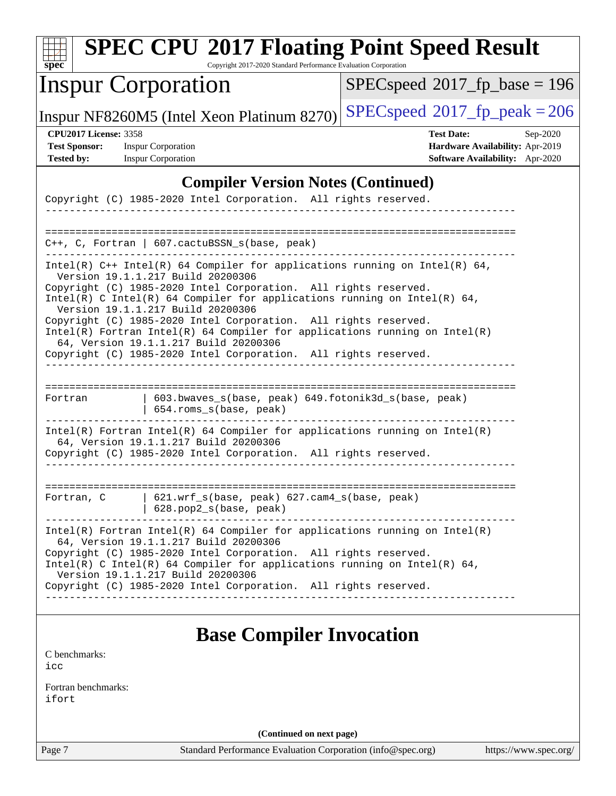| <b>SPEC CPU®2017 Floating Point Speed Result</b><br>Copyright 2017-2020 Standard Performance Evaluation Corporation<br>$spec^*$                                                                                                                                                                           |                                                                                                     |  |  |  |  |
|-----------------------------------------------------------------------------------------------------------------------------------------------------------------------------------------------------------------------------------------------------------------------------------------------------------|-----------------------------------------------------------------------------------------------------|--|--|--|--|
| <b>Inspur Corporation</b>                                                                                                                                                                                                                                                                                 | $SPEC speed^{\circ}2017\_fp\_base = 196$                                                            |  |  |  |  |
| Inspur NF8260M5 (Intel Xeon Platinum 8270)                                                                                                                                                                                                                                                                | $SPEC speed^{\circ}2017$ fp peak = 206                                                              |  |  |  |  |
| <b>CPU2017 License: 3358</b><br><b>Test Sponsor:</b><br><b>Inspur Corporation</b><br><b>Tested by:</b><br><b>Inspur Corporation</b>                                                                                                                                                                       | <b>Test Date:</b><br>Sep-2020<br>Hardware Availability: Apr-2019<br>Software Availability: Apr-2020 |  |  |  |  |
| <b>Compiler Version Notes (Continued)</b>                                                                                                                                                                                                                                                                 |                                                                                                     |  |  |  |  |
| Copyright (C) 1985-2020 Intel Corporation. All rights reserved.                                                                                                                                                                                                                                           |                                                                                                     |  |  |  |  |
| $C++$ , C, Fortran   607.cactuBSSN_s(base, peak)<br>Intel(R) $C++$ Intel(R) 64 Compiler for applications running on Intel(R) 64,                                                                                                                                                                          |                                                                                                     |  |  |  |  |
| Version 19.1.1.217 Build 20200306<br>Copyright (C) 1985-2020 Intel Corporation. All rights reserved.<br>Intel(R) C Intel(R) 64 Compiler for applications running on Intel(R) 64,<br>Version 19.1.1.217 Build 20200306<br>Copyright (C) 1985-2020 Intel Corporation. All rights reserved.                  |                                                                                                     |  |  |  |  |
| $Intel(R)$ Fortran Intel(R) 64 Compiler for applications running on Intel(R)<br>64, Version 19.1.1.217 Build 20200306<br>Copyright (C) 1985-2020 Intel Corporation. All rights reserved.                                                                                                                  |                                                                                                     |  |  |  |  |
| 603.bwaves_s(base, peak) 649.fotonik3d_s(base, peak)<br>Fortran<br>654.roms_s(base, peak)                                                                                                                                                                                                                 |                                                                                                     |  |  |  |  |
| $Intel(R)$ Fortran Intel(R) 64 Compiler for applications running on Intel(R)<br>64, Version 19.1.1.217 Build 20200306<br>Copyright (C) 1985-2020 Intel Corporation. All rights reserved.                                                                                                                  |                                                                                                     |  |  |  |  |
| 621.wrf_s(base, peak) 627.cam4_s(base, peak)<br>Fortran, C<br>628.pop2_s(base, peak)                                                                                                                                                                                                                      |                                                                                                     |  |  |  |  |
| $Intel(R)$ Fortran Intel(R) 64 Compiler for applications running on Intel(R)<br>64, Version 19.1.1.217 Build 20200306<br>Copyright (C) 1985-2020 Intel Corporation. All rights reserved.<br>Intel(R) C Intel(R) 64 Compiler for applications running on Intel(R) 64,<br>Version 19.1.1.217 Build 20200306 |                                                                                                     |  |  |  |  |
| Copyright (C) 1985-2020 Intel Corporation. All rights reserved.                                                                                                                                                                                                                                           |                                                                                                     |  |  |  |  |
| <b>Base Compiler Invocation</b><br>C benchmarks:<br>icc                                                                                                                                                                                                                                                   |                                                                                                     |  |  |  |  |

[Fortran benchmarks](http://www.spec.org/auto/cpu2017/Docs/result-fields.html#Fortranbenchmarks): [ifort](http://www.spec.org/cpu2017/results/res2020q4/cpu2017-20200928-24053.flags.html#user_FCbase_intel_ifort_8111460550e3ca792625aed983ce982f94888b8b503583aa7ba2b8303487b4d8a21a13e7191a45c5fd58ff318f48f9492884d4413fa793fd88dd292cad7027ca)

**(Continued on next page)**

Page 7 Standard Performance Evaluation Corporation [\(info@spec.org\)](mailto:info@spec.org) <https://www.spec.org/>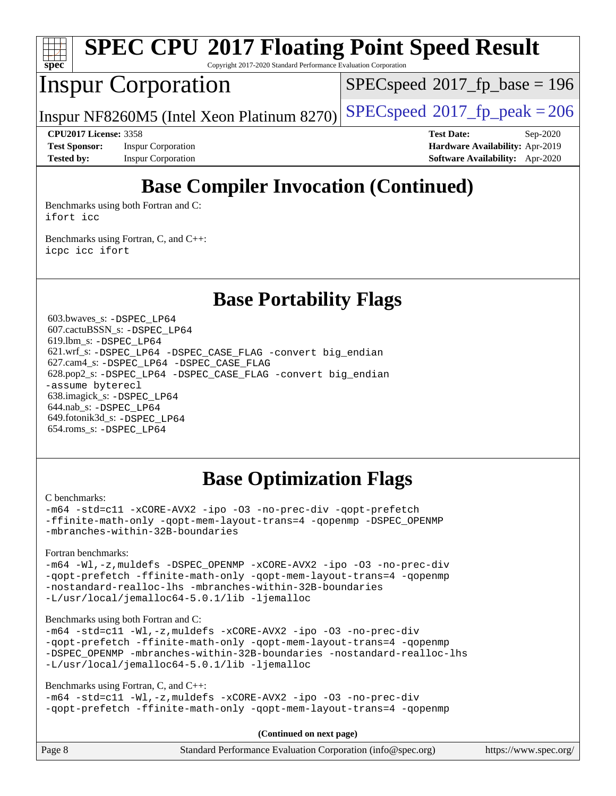

# **[SPEC CPU](http://www.spec.org/auto/cpu2017/Docs/result-fields.html#SPECCPU2017FloatingPointSpeedResult)[2017 Floating Point Speed Result](http://www.spec.org/auto/cpu2017/Docs/result-fields.html#SPECCPU2017FloatingPointSpeedResult)**

Copyright 2017-2020 Standard Performance Evaluation Corporation

## Inspur Corporation

[SPECspeed](http://www.spec.org/auto/cpu2017/Docs/result-fields.html#SPECspeed2017fpbase)<sup>®</sup>2017 fp base = 196

Inspur NF8260M5 (Intel Xeon Platinum 8270) [SPECspeed](http://www.spec.org/auto/cpu2017/Docs/result-fields.html#SPECspeed2017fppeak)<sup>®</sup>[2017\\_fp\\_peak = 2](http://www.spec.org/auto/cpu2017/Docs/result-fields.html#SPECspeed2017fppeak)06

**[Test Sponsor:](http://www.spec.org/auto/cpu2017/Docs/result-fields.html#TestSponsor)** Inspur Corporation **[Hardware Availability:](http://www.spec.org/auto/cpu2017/Docs/result-fields.html#HardwareAvailability)** Apr-2019 **[Tested by:](http://www.spec.org/auto/cpu2017/Docs/result-fields.html#Testedby)** Inspur Corporation **[Software Availability:](http://www.spec.org/auto/cpu2017/Docs/result-fields.html#SoftwareAvailability)** Apr-2020

**[CPU2017 License:](http://www.spec.org/auto/cpu2017/Docs/result-fields.html#CPU2017License)** 3358 **[Test Date:](http://www.spec.org/auto/cpu2017/Docs/result-fields.html#TestDate)** Sep-2020

## **[Base Compiler Invocation \(Continued\)](http://www.spec.org/auto/cpu2017/Docs/result-fields.html#BaseCompilerInvocation)**

[Benchmarks using both Fortran and C](http://www.spec.org/auto/cpu2017/Docs/result-fields.html#BenchmarksusingbothFortranandC): [ifort](http://www.spec.org/cpu2017/results/res2020q4/cpu2017-20200928-24053.flags.html#user_CC_FCbase_intel_ifort_8111460550e3ca792625aed983ce982f94888b8b503583aa7ba2b8303487b4d8a21a13e7191a45c5fd58ff318f48f9492884d4413fa793fd88dd292cad7027ca) [icc](http://www.spec.org/cpu2017/results/res2020q4/cpu2017-20200928-24053.flags.html#user_CC_FCbase_intel_icc_66fc1ee009f7361af1fbd72ca7dcefbb700085f36577c54f309893dd4ec40d12360134090235512931783d35fd58c0460139e722d5067c5574d8eaf2b3e37e92)

[Benchmarks using Fortran, C, and C++:](http://www.spec.org/auto/cpu2017/Docs/result-fields.html#BenchmarksusingFortranCandCXX) [icpc](http://www.spec.org/cpu2017/results/res2020q4/cpu2017-20200928-24053.flags.html#user_CC_CXX_FCbase_intel_icpc_c510b6838c7f56d33e37e94d029a35b4a7bccf4766a728ee175e80a419847e808290a9b78be685c44ab727ea267ec2f070ec5dc83b407c0218cded6866a35d07) [icc](http://www.spec.org/cpu2017/results/res2020q4/cpu2017-20200928-24053.flags.html#user_CC_CXX_FCbase_intel_icc_66fc1ee009f7361af1fbd72ca7dcefbb700085f36577c54f309893dd4ec40d12360134090235512931783d35fd58c0460139e722d5067c5574d8eaf2b3e37e92) [ifort](http://www.spec.org/cpu2017/results/res2020q4/cpu2017-20200928-24053.flags.html#user_CC_CXX_FCbase_intel_ifort_8111460550e3ca792625aed983ce982f94888b8b503583aa7ba2b8303487b4d8a21a13e7191a45c5fd58ff318f48f9492884d4413fa793fd88dd292cad7027ca)

## **[Base Portability Flags](http://www.spec.org/auto/cpu2017/Docs/result-fields.html#BasePortabilityFlags)**

 603.bwaves\_s: [-DSPEC\\_LP64](http://www.spec.org/cpu2017/results/res2020q4/cpu2017-20200928-24053.flags.html#suite_basePORTABILITY603_bwaves_s_DSPEC_LP64) 607.cactuBSSN\_s: [-DSPEC\\_LP64](http://www.spec.org/cpu2017/results/res2020q4/cpu2017-20200928-24053.flags.html#suite_basePORTABILITY607_cactuBSSN_s_DSPEC_LP64) 619.lbm\_s: [-DSPEC\\_LP64](http://www.spec.org/cpu2017/results/res2020q4/cpu2017-20200928-24053.flags.html#suite_basePORTABILITY619_lbm_s_DSPEC_LP64) 621.wrf\_s: [-DSPEC\\_LP64](http://www.spec.org/cpu2017/results/res2020q4/cpu2017-20200928-24053.flags.html#suite_basePORTABILITY621_wrf_s_DSPEC_LP64) [-DSPEC\\_CASE\\_FLAG](http://www.spec.org/cpu2017/results/res2020q4/cpu2017-20200928-24053.flags.html#b621.wrf_s_baseCPORTABILITY_DSPEC_CASE_FLAG) [-convert big\\_endian](http://www.spec.org/cpu2017/results/res2020q4/cpu2017-20200928-24053.flags.html#user_baseFPORTABILITY621_wrf_s_convert_big_endian_c3194028bc08c63ac5d04de18c48ce6d347e4e562e8892b8bdbdc0214820426deb8554edfa529a3fb25a586e65a3d812c835984020483e7e73212c4d31a38223) 627.cam4\_s: [-DSPEC\\_LP64](http://www.spec.org/cpu2017/results/res2020q4/cpu2017-20200928-24053.flags.html#suite_basePORTABILITY627_cam4_s_DSPEC_LP64) [-DSPEC\\_CASE\\_FLAG](http://www.spec.org/cpu2017/results/res2020q4/cpu2017-20200928-24053.flags.html#b627.cam4_s_baseCPORTABILITY_DSPEC_CASE_FLAG) 628.pop2\_s: [-DSPEC\\_LP64](http://www.spec.org/cpu2017/results/res2020q4/cpu2017-20200928-24053.flags.html#suite_basePORTABILITY628_pop2_s_DSPEC_LP64) [-DSPEC\\_CASE\\_FLAG](http://www.spec.org/cpu2017/results/res2020q4/cpu2017-20200928-24053.flags.html#b628.pop2_s_baseCPORTABILITY_DSPEC_CASE_FLAG) [-convert big\\_endian](http://www.spec.org/cpu2017/results/res2020q4/cpu2017-20200928-24053.flags.html#user_baseFPORTABILITY628_pop2_s_convert_big_endian_c3194028bc08c63ac5d04de18c48ce6d347e4e562e8892b8bdbdc0214820426deb8554edfa529a3fb25a586e65a3d812c835984020483e7e73212c4d31a38223) [-assume byterecl](http://www.spec.org/cpu2017/results/res2020q4/cpu2017-20200928-24053.flags.html#user_baseFPORTABILITY628_pop2_s_assume_byterecl_7e47d18b9513cf18525430bbf0f2177aa9bf368bc7a059c09b2c06a34b53bd3447c950d3f8d6c70e3faf3a05c8557d66a5798b567902e8849adc142926523472) 638.imagick\_s: [-DSPEC\\_LP64](http://www.spec.org/cpu2017/results/res2020q4/cpu2017-20200928-24053.flags.html#suite_basePORTABILITY638_imagick_s_DSPEC_LP64) 644.nab\_s: [-DSPEC\\_LP64](http://www.spec.org/cpu2017/results/res2020q4/cpu2017-20200928-24053.flags.html#suite_basePORTABILITY644_nab_s_DSPEC_LP64) 649.fotonik3d\_s: [-DSPEC\\_LP64](http://www.spec.org/cpu2017/results/res2020q4/cpu2017-20200928-24053.flags.html#suite_basePORTABILITY649_fotonik3d_s_DSPEC_LP64) 654.roms\_s: [-DSPEC\\_LP64](http://www.spec.org/cpu2017/results/res2020q4/cpu2017-20200928-24053.flags.html#suite_basePORTABILITY654_roms_s_DSPEC_LP64)

## **[Base Optimization Flags](http://www.spec.org/auto/cpu2017/Docs/result-fields.html#BaseOptimizationFlags)**

[C benchmarks](http://www.spec.org/auto/cpu2017/Docs/result-fields.html#Cbenchmarks):

[-m64](http://www.spec.org/cpu2017/results/res2020q4/cpu2017-20200928-24053.flags.html#user_CCbase_m64-icc) [-std=c11](http://www.spec.org/cpu2017/results/res2020q4/cpu2017-20200928-24053.flags.html#user_CCbase_std-icc-std_0e1c27790398a4642dfca32ffe6c27b5796f9c2d2676156f2e42c9c44eaad0c049b1cdb667a270c34d979996257aeb8fc440bfb01818dbc9357bd9d174cb8524) [-xCORE-AVX2](http://www.spec.org/cpu2017/results/res2020q4/cpu2017-20200928-24053.flags.html#user_CCbase_f-xCORE-AVX2) [-ipo](http://www.spec.org/cpu2017/results/res2020q4/cpu2017-20200928-24053.flags.html#user_CCbase_f-ipo) [-O3](http://www.spec.org/cpu2017/results/res2020q4/cpu2017-20200928-24053.flags.html#user_CCbase_f-O3) [-no-prec-div](http://www.spec.org/cpu2017/results/res2020q4/cpu2017-20200928-24053.flags.html#user_CCbase_f-no-prec-div) [-qopt-prefetch](http://www.spec.org/cpu2017/results/res2020q4/cpu2017-20200928-24053.flags.html#user_CCbase_f-qopt-prefetch) [-ffinite-math-only](http://www.spec.org/cpu2017/results/res2020q4/cpu2017-20200928-24053.flags.html#user_CCbase_f_finite_math_only_cb91587bd2077682c4b38af759c288ed7c732db004271a9512da14a4f8007909a5f1427ecbf1a0fb78ff2a814402c6114ac565ca162485bbcae155b5e4258871) [-qopt-mem-layout-trans=4](http://www.spec.org/cpu2017/results/res2020q4/cpu2017-20200928-24053.flags.html#user_CCbase_f-qopt-mem-layout-trans_fa39e755916c150a61361b7846f310bcdf6f04e385ef281cadf3647acec3f0ae266d1a1d22d972a7087a248fd4e6ca390a3634700869573d231a252c784941a8) [-qopenmp](http://www.spec.org/cpu2017/results/res2020q4/cpu2017-20200928-24053.flags.html#user_CCbase_qopenmp_16be0c44f24f464004c6784a7acb94aca937f053568ce72f94b139a11c7c168634a55f6653758ddd83bcf7b8463e8028bb0b48b77bcddc6b78d5d95bb1df2967) [-DSPEC\\_OPENMP](http://www.spec.org/cpu2017/results/res2020q4/cpu2017-20200928-24053.flags.html#suite_CCbase_DSPEC_OPENMP) [-mbranches-within-32B-boundaries](http://www.spec.org/cpu2017/results/res2020q4/cpu2017-20200928-24053.flags.html#user_CCbase_f-mbranches-within-32B-boundaries)

[Fortran benchmarks](http://www.spec.org/auto/cpu2017/Docs/result-fields.html#Fortranbenchmarks):

[-m64](http://www.spec.org/cpu2017/results/res2020q4/cpu2017-20200928-24053.flags.html#user_FCbase_m64-icc) [-Wl,-z,muldefs](http://www.spec.org/cpu2017/results/res2020q4/cpu2017-20200928-24053.flags.html#user_FCbase_link_force_multiple1_b4cbdb97b34bdee9ceefcfe54f4c8ea74255f0b02a4b23e853cdb0e18eb4525ac79b5a88067c842dd0ee6996c24547a27a4b99331201badda8798ef8a743f577) [-DSPEC\\_OPENMP](http://www.spec.org/cpu2017/results/res2020q4/cpu2017-20200928-24053.flags.html#suite_FCbase_DSPEC_OPENMP) [-xCORE-AVX2](http://www.spec.org/cpu2017/results/res2020q4/cpu2017-20200928-24053.flags.html#user_FCbase_f-xCORE-AVX2) [-ipo](http://www.spec.org/cpu2017/results/res2020q4/cpu2017-20200928-24053.flags.html#user_FCbase_f-ipo) [-O3](http://www.spec.org/cpu2017/results/res2020q4/cpu2017-20200928-24053.flags.html#user_FCbase_f-O3) [-no-prec-div](http://www.spec.org/cpu2017/results/res2020q4/cpu2017-20200928-24053.flags.html#user_FCbase_f-no-prec-div) [-qopt-prefetch](http://www.spec.org/cpu2017/results/res2020q4/cpu2017-20200928-24053.flags.html#user_FCbase_f-qopt-prefetch) [-ffinite-math-only](http://www.spec.org/cpu2017/results/res2020q4/cpu2017-20200928-24053.flags.html#user_FCbase_f_finite_math_only_cb91587bd2077682c4b38af759c288ed7c732db004271a9512da14a4f8007909a5f1427ecbf1a0fb78ff2a814402c6114ac565ca162485bbcae155b5e4258871) [-qopt-mem-layout-trans=4](http://www.spec.org/cpu2017/results/res2020q4/cpu2017-20200928-24053.flags.html#user_FCbase_f-qopt-mem-layout-trans_fa39e755916c150a61361b7846f310bcdf6f04e385ef281cadf3647acec3f0ae266d1a1d22d972a7087a248fd4e6ca390a3634700869573d231a252c784941a8) [-qopenmp](http://www.spec.org/cpu2017/results/res2020q4/cpu2017-20200928-24053.flags.html#user_FCbase_qopenmp_16be0c44f24f464004c6784a7acb94aca937f053568ce72f94b139a11c7c168634a55f6653758ddd83bcf7b8463e8028bb0b48b77bcddc6b78d5d95bb1df2967) [-nostandard-realloc-lhs](http://www.spec.org/cpu2017/results/res2020q4/cpu2017-20200928-24053.flags.html#user_FCbase_f_2003_std_realloc_82b4557e90729c0f113870c07e44d33d6f5a304b4f63d4c15d2d0f1fab99f5daaed73bdb9275d9ae411527f28b936061aa8b9c8f2d63842963b95c9dd6426b8a) [-mbranches-within-32B-boundaries](http://www.spec.org/cpu2017/results/res2020q4/cpu2017-20200928-24053.flags.html#user_FCbase_f-mbranches-within-32B-boundaries) [-L/usr/local/jemalloc64-5.0.1/lib](http://www.spec.org/cpu2017/results/res2020q4/cpu2017-20200928-24053.flags.html#user_FCbase_jemalloc_link_path64_1_cc289568b1a6c0fd3b62c91b824c27fcb5af5e8098e6ad028160d21144ef1b8aef3170d2acf0bee98a8da324cfe4f67d0a3d0c4cc4673d993d694dc2a0df248b) [-ljemalloc](http://www.spec.org/cpu2017/results/res2020q4/cpu2017-20200928-24053.flags.html#user_FCbase_jemalloc_link_lib_d1249b907c500fa1c0672f44f562e3d0f79738ae9e3c4a9c376d49f265a04b9c99b167ecedbf6711b3085be911c67ff61f150a17b3472be731631ba4d0471706)

#### [Benchmarks using both Fortran and C](http://www.spec.org/auto/cpu2017/Docs/result-fields.html#BenchmarksusingbothFortranandC):

[-m64](http://www.spec.org/cpu2017/results/res2020q4/cpu2017-20200928-24053.flags.html#user_CC_FCbase_m64-icc) [-std=c11](http://www.spec.org/cpu2017/results/res2020q4/cpu2017-20200928-24053.flags.html#user_CC_FCbase_std-icc-std_0e1c27790398a4642dfca32ffe6c27b5796f9c2d2676156f2e42c9c44eaad0c049b1cdb667a270c34d979996257aeb8fc440bfb01818dbc9357bd9d174cb8524) [-Wl,-z,muldefs](http://www.spec.org/cpu2017/results/res2020q4/cpu2017-20200928-24053.flags.html#user_CC_FCbase_link_force_multiple1_b4cbdb97b34bdee9ceefcfe54f4c8ea74255f0b02a4b23e853cdb0e18eb4525ac79b5a88067c842dd0ee6996c24547a27a4b99331201badda8798ef8a743f577) [-xCORE-AVX2](http://www.spec.org/cpu2017/results/res2020q4/cpu2017-20200928-24053.flags.html#user_CC_FCbase_f-xCORE-AVX2) [-ipo](http://www.spec.org/cpu2017/results/res2020q4/cpu2017-20200928-24053.flags.html#user_CC_FCbase_f-ipo) [-O3](http://www.spec.org/cpu2017/results/res2020q4/cpu2017-20200928-24053.flags.html#user_CC_FCbase_f-O3) [-no-prec-div](http://www.spec.org/cpu2017/results/res2020q4/cpu2017-20200928-24053.flags.html#user_CC_FCbase_f-no-prec-div) [-qopt-prefetch](http://www.spec.org/cpu2017/results/res2020q4/cpu2017-20200928-24053.flags.html#user_CC_FCbase_f-qopt-prefetch) [-ffinite-math-only](http://www.spec.org/cpu2017/results/res2020q4/cpu2017-20200928-24053.flags.html#user_CC_FCbase_f_finite_math_only_cb91587bd2077682c4b38af759c288ed7c732db004271a9512da14a4f8007909a5f1427ecbf1a0fb78ff2a814402c6114ac565ca162485bbcae155b5e4258871) [-qopt-mem-layout-trans=4](http://www.spec.org/cpu2017/results/res2020q4/cpu2017-20200928-24053.flags.html#user_CC_FCbase_f-qopt-mem-layout-trans_fa39e755916c150a61361b7846f310bcdf6f04e385ef281cadf3647acec3f0ae266d1a1d22d972a7087a248fd4e6ca390a3634700869573d231a252c784941a8) [-qopenmp](http://www.spec.org/cpu2017/results/res2020q4/cpu2017-20200928-24053.flags.html#user_CC_FCbase_qopenmp_16be0c44f24f464004c6784a7acb94aca937f053568ce72f94b139a11c7c168634a55f6653758ddd83bcf7b8463e8028bb0b48b77bcddc6b78d5d95bb1df2967) [-DSPEC\\_OPENMP](http://www.spec.org/cpu2017/results/res2020q4/cpu2017-20200928-24053.flags.html#suite_CC_FCbase_DSPEC_OPENMP) [-mbranches-within-32B-boundaries](http://www.spec.org/cpu2017/results/res2020q4/cpu2017-20200928-24053.flags.html#user_CC_FCbase_f-mbranches-within-32B-boundaries) [-nostandard-realloc-lhs](http://www.spec.org/cpu2017/results/res2020q4/cpu2017-20200928-24053.flags.html#user_CC_FCbase_f_2003_std_realloc_82b4557e90729c0f113870c07e44d33d6f5a304b4f63d4c15d2d0f1fab99f5daaed73bdb9275d9ae411527f28b936061aa8b9c8f2d63842963b95c9dd6426b8a) [-L/usr/local/jemalloc64-5.0.1/lib](http://www.spec.org/cpu2017/results/res2020q4/cpu2017-20200928-24053.flags.html#user_CC_FCbase_jemalloc_link_path64_1_cc289568b1a6c0fd3b62c91b824c27fcb5af5e8098e6ad028160d21144ef1b8aef3170d2acf0bee98a8da324cfe4f67d0a3d0c4cc4673d993d694dc2a0df248b) [-ljemalloc](http://www.spec.org/cpu2017/results/res2020q4/cpu2017-20200928-24053.flags.html#user_CC_FCbase_jemalloc_link_lib_d1249b907c500fa1c0672f44f562e3d0f79738ae9e3c4a9c376d49f265a04b9c99b167ecedbf6711b3085be911c67ff61f150a17b3472be731631ba4d0471706)

[Benchmarks using Fortran, C, and C++:](http://www.spec.org/auto/cpu2017/Docs/result-fields.html#BenchmarksusingFortranCandCXX)

```
-m64 -std=c11 -Wl,-z,muldefs -xCORE-AVX2 -ipo -O3 -no-prec-div
-qopt-prefetch -ffinite-math-only -qopt-mem-layout-trans=4 -qopenmp
```

|  | Page 8 | Standard Performance Evaluation Corporation (info@spec.org) | https://www.spec.org/ |
|--|--------|-------------------------------------------------------------|-----------------------|
|--|--------|-------------------------------------------------------------|-----------------------|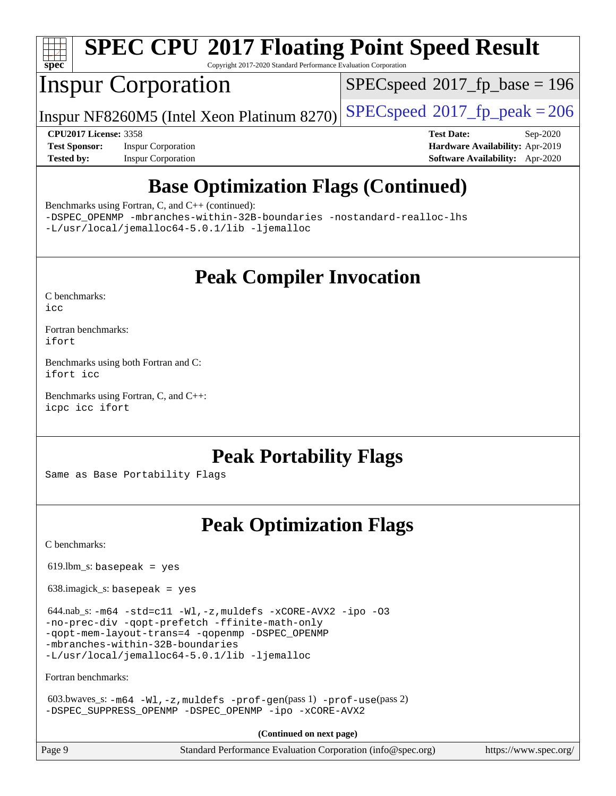

# **[SPEC CPU](http://www.spec.org/auto/cpu2017/Docs/result-fields.html#SPECCPU2017FloatingPointSpeedResult)[2017 Floating Point Speed Result](http://www.spec.org/auto/cpu2017/Docs/result-fields.html#SPECCPU2017FloatingPointSpeedResult)**

Copyright 2017-2020 Standard Performance Evaluation Corporation

## Inspur Corporation

[SPECspeed](http://www.spec.org/auto/cpu2017/Docs/result-fields.html#SPECspeed2017fpbase)<sup>®</sup>2017 fp base = 196

Inspur NF8260M5 (Intel Xeon Platinum 8270) [SPECspeed](http://www.spec.org/auto/cpu2017/Docs/result-fields.html#SPECspeed2017fppeak)<sup>®</sup>[2017\\_fp\\_peak = 2](http://www.spec.org/auto/cpu2017/Docs/result-fields.html#SPECspeed2017fppeak)06

**[Test Sponsor:](http://www.spec.org/auto/cpu2017/Docs/result-fields.html#TestSponsor)** Inspur Corporation **[Hardware Availability:](http://www.spec.org/auto/cpu2017/Docs/result-fields.html#HardwareAvailability)** Apr-2019 **[Tested by:](http://www.spec.org/auto/cpu2017/Docs/result-fields.html#Testedby)** Inspur Corporation **[Software Availability:](http://www.spec.org/auto/cpu2017/Docs/result-fields.html#SoftwareAvailability)** Apr-2020

**[CPU2017 License:](http://www.spec.org/auto/cpu2017/Docs/result-fields.html#CPU2017License)** 3358 **[Test Date:](http://www.spec.org/auto/cpu2017/Docs/result-fields.html#TestDate)** Sep-2020

## **[Base Optimization Flags \(Continued\)](http://www.spec.org/auto/cpu2017/Docs/result-fields.html#BaseOptimizationFlags)**

[Benchmarks using Fortran, C, and C++](http://www.spec.org/auto/cpu2017/Docs/result-fields.html#BenchmarksusingFortranCandCXX) (continued):

[-DSPEC\\_OPENMP](http://www.spec.org/cpu2017/results/res2020q4/cpu2017-20200928-24053.flags.html#suite_CC_CXX_FCbase_DSPEC_OPENMP) [-mbranches-within-32B-boundaries](http://www.spec.org/cpu2017/results/res2020q4/cpu2017-20200928-24053.flags.html#user_CC_CXX_FCbase_f-mbranches-within-32B-boundaries) [-nostandard-realloc-lhs](http://www.spec.org/cpu2017/results/res2020q4/cpu2017-20200928-24053.flags.html#user_CC_CXX_FCbase_f_2003_std_realloc_82b4557e90729c0f113870c07e44d33d6f5a304b4f63d4c15d2d0f1fab99f5daaed73bdb9275d9ae411527f28b936061aa8b9c8f2d63842963b95c9dd6426b8a) [-L/usr/local/jemalloc64-5.0.1/lib](http://www.spec.org/cpu2017/results/res2020q4/cpu2017-20200928-24053.flags.html#user_CC_CXX_FCbase_jemalloc_link_path64_1_cc289568b1a6c0fd3b62c91b824c27fcb5af5e8098e6ad028160d21144ef1b8aef3170d2acf0bee98a8da324cfe4f67d0a3d0c4cc4673d993d694dc2a0df248b) [-ljemalloc](http://www.spec.org/cpu2017/results/res2020q4/cpu2017-20200928-24053.flags.html#user_CC_CXX_FCbase_jemalloc_link_lib_d1249b907c500fa1c0672f44f562e3d0f79738ae9e3c4a9c376d49f265a04b9c99b167ecedbf6711b3085be911c67ff61f150a17b3472be731631ba4d0471706)

**[Peak Compiler Invocation](http://www.spec.org/auto/cpu2017/Docs/result-fields.html#PeakCompilerInvocation)**

[C benchmarks](http://www.spec.org/auto/cpu2017/Docs/result-fields.html#Cbenchmarks): [icc](http://www.spec.org/cpu2017/results/res2020q4/cpu2017-20200928-24053.flags.html#user_CCpeak_intel_icc_66fc1ee009f7361af1fbd72ca7dcefbb700085f36577c54f309893dd4ec40d12360134090235512931783d35fd58c0460139e722d5067c5574d8eaf2b3e37e92)

[Fortran benchmarks](http://www.spec.org/auto/cpu2017/Docs/result-fields.html#Fortranbenchmarks): [ifort](http://www.spec.org/cpu2017/results/res2020q4/cpu2017-20200928-24053.flags.html#user_FCpeak_intel_ifort_8111460550e3ca792625aed983ce982f94888b8b503583aa7ba2b8303487b4d8a21a13e7191a45c5fd58ff318f48f9492884d4413fa793fd88dd292cad7027ca)

[Benchmarks using both Fortran and C](http://www.spec.org/auto/cpu2017/Docs/result-fields.html#BenchmarksusingbothFortranandC): [ifort](http://www.spec.org/cpu2017/results/res2020q4/cpu2017-20200928-24053.flags.html#user_CC_FCpeak_intel_ifort_8111460550e3ca792625aed983ce982f94888b8b503583aa7ba2b8303487b4d8a21a13e7191a45c5fd58ff318f48f9492884d4413fa793fd88dd292cad7027ca) [icc](http://www.spec.org/cpu2017/results/res2020q4/cpu2017-20200928-24053.flags.html#user_CC_FCpeak_intel_icc_66fc1ee009f7361af1fbd72ca7dcefbb700085f36577c54f309893dd4ec40d12360134090235512931783d35fd58c0460139e722d5067c5574d8eaf2b3e37e92)

[Benchmarks using Fortran, C, and C++:](http://www.spec.org/auto/cpu2017/Docs/result-fields.html#BenchmarksusingFortranCandCXX) [icpc](http://www.spec.org/cpu2017/results/res2020q4/cpu2017-20200928-24053.flags.html#user_CC_CXX_FCpeak_intel_icpc_c510b6838c7f56d33e37e94d029a35b4a7bccf4766a728ee175e80a419847e808290a9b78be685c44ab727ea267ec2f070ec5dc83b407c0218cded6866a35d07) [icc](http://www.spec.org/cpu2017/results/res2020q4/cpu2017-20200928-24053.flags.html#user_CC_CXX_FCpeak_intel_icc_66fc1ee009f7361af1fbd72ca7dcefbb700085f36577c54f309893dd4ec40d12360134090235512931783d35fd58c0460139e722d5067c5574d8eaf2b3e37e92) [ifort](http://www.spec.org/cpu2017/results/res2020q4/cpu2017-20200928-24053.flags.html#user_CC_CXX_FCpeak_intel_ifort_8111460550e3ca792625aed983ce982f94888b8b503583aa7ba2b8303487b4d8a21a13e7191a45c5fd58ff318f48f9492884d4413fa793fd88dd292cad7027ca)

**[Peak Portability Flags](http://www.spec.org/auto/cpu2017/Docs/result-fields.html#PeakPortabilityFlags)**

Same as Base Portability Flags

## **[Peak Optimization Flags](http://www.spec.org/auto/cpu2017/Docs/result-fields.html#PeakOptimizationFlags)**

[C benchmarks](http://www.spec.org/auto/cpu2017/Docs/result-fields.html#Cbenchmarks):

 $619.$ lbm\_s: basepeak = yes

638.imagick\_s: basepeak = yes

 $644.nab$ <sub>s:</sub>  $-m64$   $-std=cl1$   $-Wl$ ,  $-z$ , muldefs  $-xCORE-AVX2$  [-ipo](http://www.spec.org/cpu2017/results/res2020q4/cpu2017-20200928-24053.flags.html#user_peakCOPTIMIZE644_nab_s_f-ipo)  $-03$ [-no-prec-div](http://www.spec.org/cpu2017/results/res2020q4/cpu2017-20200928-24053.flags.html#user_peakCOPTIMIZE644_nab_s_f-no-prec-div) [-qopt-prefetch](http://www.spec.org/cpu2017/results/res2020q4/cpu2017-20200928-24053.flags.html#user_peakCOPTIMIZE644_nab_s_f-qopt-prefetch) [-ffinite-math-only](http://www.spec.org/cpu2017/results/res2020q4/cpu2017-20200928-24053.flags.html#user_peakCOPTIMIZE644_nab_s_f_finite_math_only_cb91587bd2077682c4b38af759c288ed7c732db004271a9512da14a4f8007909a5f1427ecbf1a0fb78ff2a814402c6114ac565ca162485bbcae155b5e4258871) [-qopt-mem-layout-trans=4](http://www.spec.org/cpu2017/results/res2020q4/cpu2017-20200928-24053.flags.html#user_peakCOPTIMIZE644_nab_s_f-qopt-mem-layout-trans_fa39e755916c150a61361b7846f310bcdf6f04e385ef281cadf3647acec3f0ae266d1a1d22d972a7087a248fd4e6ca390a3634700869573d231a252c784941a8) [-qopenmp](http://www.spec.org/cpu2017/results/res2020q4/cpu2017-20200928-24053.flags.html#user_peakCOPTIMIZE644_nab_s_qopenmp_16be0c44f24f464004c6784a7acb94aca937f053568ce72f94b139a11c7c168634a55f6653758ddd83bcf7b8463e8028bb0b48b77bcddc6b78d5d95bb1df2967) [-DSPEC\\_OPENMP](http://www.spec.org/cpu2017/results/res2020q4/cpu2017-20200928-24053.flags.html#suite_peakCOPTIMIZE644_nab_s_DSPEC_OPENMP) [-mbranches-within-32B-boundaries](http://www.spec.org/cpu2017/results/res2020q4/cpu2017-20200928-24053.flags.html#user_peakEXTRA_COPTIMIZE644_nab_s_f-mbranches-within-32B-boundaries) [-L/usr/local/jemalloc64-5.0.1/lib](http://www.spec.org/cpu2017/results/res2020q4/cpu2017-20200928-24053.flags.html#user_peakEXTRA_LIBS644_nab_s_jemalloc_link_path64_1_cc289568b1a6c0fd3b62c91b824c27fcb5af5e8098e6ad028160d21144ef1b8aef3170d2acf0bee98a8da324cfe4f67d0a3d0c4cc4673d993d694dc2a0df248b) [-ljemalloc](http://www.spec.org/cpu2017/results/res2020q4/cpu2017-20200928-24053.flags.html#user_peakEXTRA_LIBS644_nab_s_jemalloc_link_lib_d1249b907c500fa1c0672f44f562e3d0f79738ae9e3c4a9c376d49f265a04b9c99b167ecedbf6711b3085be911c67ff61f150a17b3472be731631ba4d0471706)

[Fortran benchmarks](http://www.spec.org/auto/cpu2017/Docs/result-fields.html#Fortranbenchmarks):

603.bwaves\_s:  $-m64 -W1$  $-m64 -W1$ ,  $-z$ , muldefs  $-prof-qen(pass 1)$   $-prof-use(pass 2)$  $-prof-use(pass 2)$ [-DSPEC\\_SUPPRESS\\_OPENMP](http://www.spec.org/cpu2017/results/res2020q4/cpu2017-20200928-24053.flags.html#suite_peakPASS1_FOPTIMIZE603_bwaves_s_DSPEC_SUPPRESS_OPENMP) [-DSPEC\\_OPENMP](http://www.spec.org/cpu2017/results/res2020q4/cpu2017-20200928-24053.flags.html#suite_peakPASS2_FOPTIMIZE603_bwaves_s_DSPEC_OPENMP) [-ipo](http://www.spec.org/cpu2017/results/res2020q4/cpu2017-20200928-24053.flags.html#user_peakPASS1_FOPTIMIZEPASS2_FOPTIMIZE603_bwaves_s_f-ipo) [-xCORE-AVX2](http://www.spec.org/cpu2017/results/res2020q4/cpu2017-20200928-24053.flags.html#user_peakPASS2_FOPTIMIZE603_bwaves_s_f-xCORE-AVX2)

| Page 9 | Standard Performance Evaluation Corporation (info@spec.org) | https://www.spec.org/ |
|--------|-------------------------------------------------------------|-----------------------|
|--------|-------------------------------------------------------------|-----------------------|